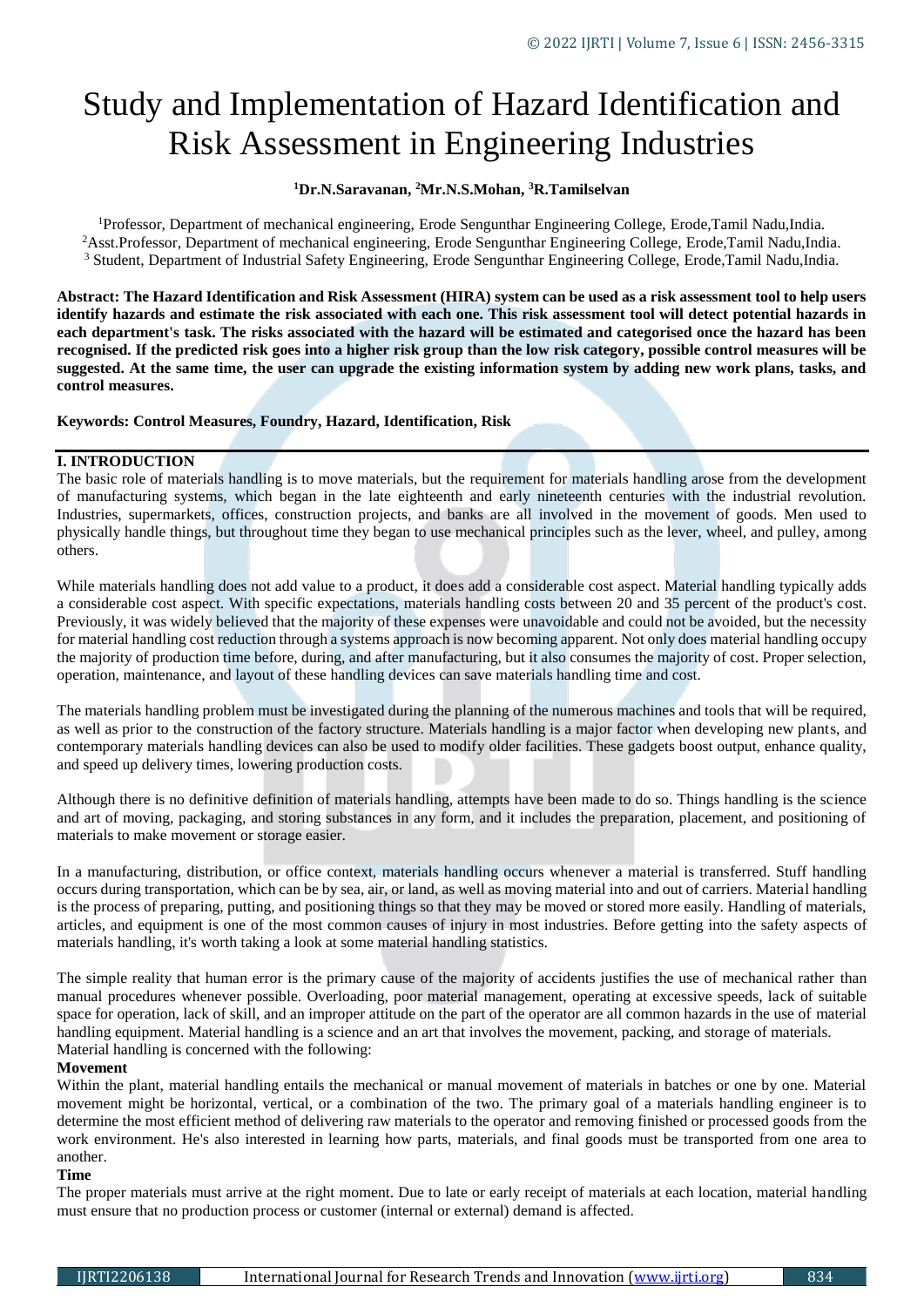# Study and Implementation of Hazard Identification and Risk Assessment in Engineering Industries

## **<sup>1</sup>Dr.N.Saravanan, <sup>2</sup>Mr.N.S.Mohan, <sup>3</sup>R.Tamilselvan**

<sup>1</sup>Professor, Department of mechanical engineering, Erode Sengunthar Engineering College, Erode,Tamil Nadu,India. <sup>2</sup>Asst.Professor, Department of mechanical engineering, Erode Sengunthar Engineering College, Erode,Tamil Nadu,India. <sup>3</sup> Student, Department of Industrial Safety Engineering, Erode Sengunthar Engineering College, Erode,Tamil Nadu,India.

**Abstract: The Hazard Identification and Risk Assessment (HIRA) system can be used as a risk assessment tool to help users identify hazards and estimate the risk associated with each one. This risk assessment tool will detect potential hazards in each department's task. The risks associated with the hazard will be estimated and categorised once the hazard has been recognised. If the predicted risk goes into a higher risk group than the low risk category, possible control measures will be suggested. At the same time, the user can upgrade the existing information system by adding new work plans, tasks, and control measures.**

**Keywords: Control Measures, Foundry, Hazard, Identification, Risk**

## **I. INTRODUCTION**

The basic role of materials handling is to move materials, but the requirement for materials handling arose from the development of manufacturing systems, which began in the late eighteenth and early nineteenth centuries with the industrial revolution. Industries, supermarkets, offices, construction projects, and banks are all involved in the movement of goods. Men used to physically handle things, but throughout time they began to use mechanical principles such as the lever, wheel, and pulley, among others.

While materials handling does not add value to a product, it does add a considerable cost aspect. Material handling typically adds a considerable cost aspect. With specific expectations, materials handling costs between 20 and 35 percent of the product's cost. Previously, it was widely believed that the majority of these expenses were unavoidable and could not be avoided, but the necessity for material handling cost reduction through a systems approach is now becoming apparent. Not only does material handling occupy the majority of production time before, during, and after manufacturing, but it also consumes the majority of cost. Proper selection, operation, maintenance, and layout of these handling devices can save materials handling time and cost.

The materials handling problem must be investigated during the planning of the numerous machines and tools that will be required, as well as prior to the construction of the factory structure. Materials handling is a major factor when developing new plants, and contemporary materials handling devices can also be used to modify older facilities. These gadgets boost output, enhance quality, and speed up delivery times, lowering production costs.

Although there is no definitive definition of materials handling, attempts have been made to do so. Things handling is the science and art of moving, packaging, and storing substances in any form, and it includes the preparation, placement, and positioning of materials to make movement or storage easier.

In a manufacturing, distribution, or office context, materials handling occurs whenever a material is transferred. Stuff handling occurs during transportation, which can be by sea, air, or land, as well as moving material into and out of carriers. Material handling is the process of preparing, putting, and positioning things so that they may be moved or stored more easily. Handling of materials, articles, and equipment is one of the most common causes of injury in most industries. Before getting into the safety aspects of materials handling, it's worth taking a look at some material handling statistics.

The simple reality that human error is the primary cause of the majority of accidents justifies the use of mechanical rather than manual procedures whenever possible. Overloading, poor material management, operating at excessive speeds, lack of suitable space for operation, lack of skill, and an improper attitude on the part of the operator are all common hazards in the use of material handling equipment. Material handling is a science and an art that involves the movement, packing, and storage of materials. Material handling is concerned with the following:

#### **Movement**

Within the plant, material handling entails the mechanical or manual movement of materials in batches or one by one. Material movement might be horizontal, vertical, or a combination of the two. The primary goal of a materials handling engineer is to determine the most efficient method of delivering raw materials to the operator and removing finished or processed goods from the work environment. He's also interested in learning how parts, materials, and final goods must be transported from one area to another.

#### **Time**

The proper materials must arrive at the right moment. Due to late or early receipt of materials at each location, material handling must ensure that no production process or customer (internal or external) demand is affected.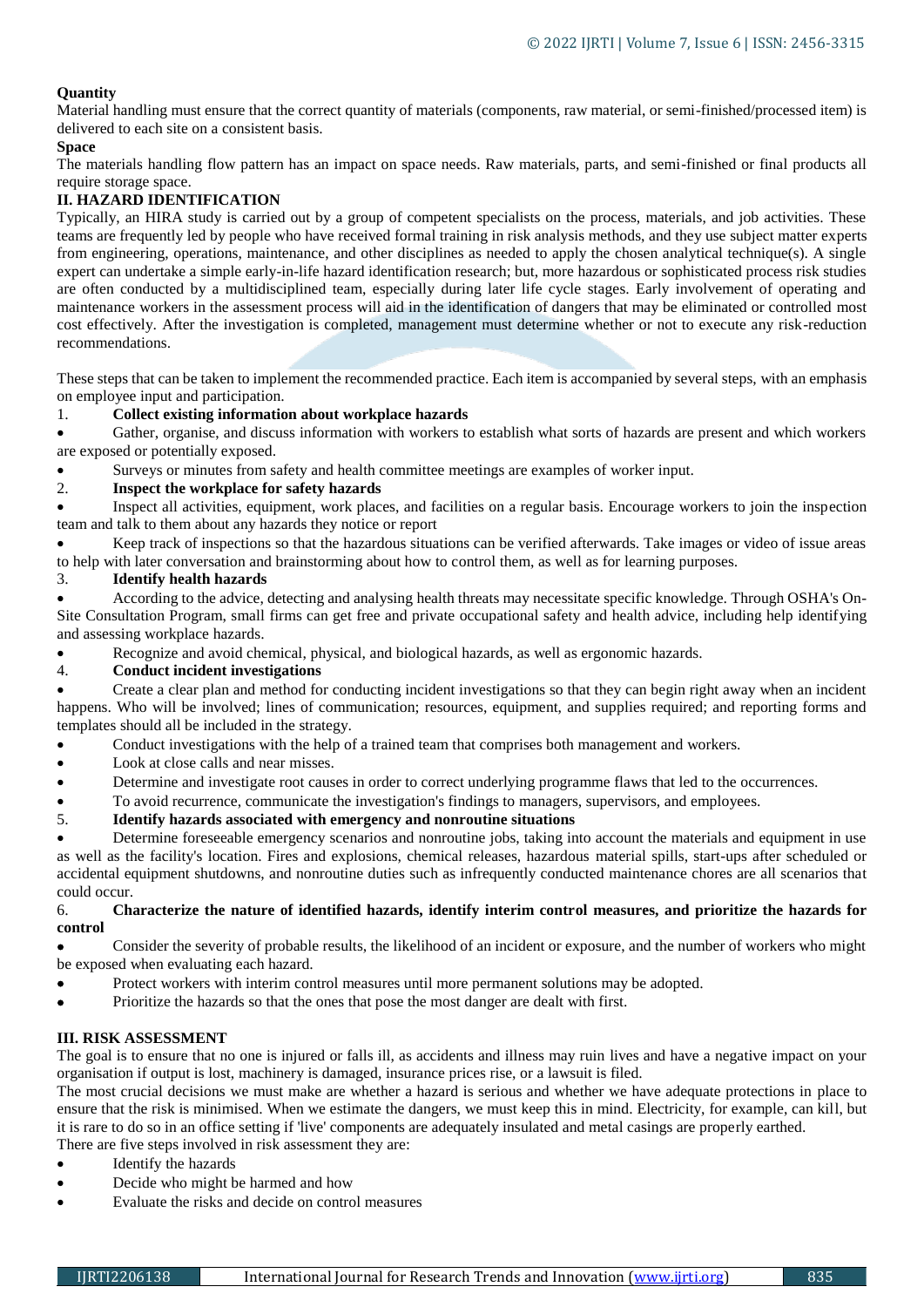## **Quantity**

Material handling must ensure that the correct quantity of materials (components, raw material, or semi-finished/processed item) is delivered to each site on a consistent basis.

### **Space**

The materials handling flow pattern has an impact on space needs. Raw materials, parts, and semi-finished or final products all require storage space.

## **II. HAZARD IDENTIFICATION**

Typically, an HIRA study is carried out by a group of competent specialists on the process, materials, and job activities. These teams are frequently led by people who have received formal training in risk analysis methods, and they use subject matter experts from engineering, operations, maintenance, and other disciplines as needed to apply the chosen analytical technique(s). A single expert can undertake a simple early-in-life hazard identification research; but, more hazardous or sophisticated process risk studies are often conducted by a multidisciplined team, especially during later life cycle stages. Early involvement of operating and maintenance workers in the assessment process will aid in the identification of dangers that may be eliminated or controlled most cost effectively. After the investigation is completed, management must determine whether or not to execute any risk-reduction recommendations.

These steps that can be taken to implement the recommended practice. Each item is accompanied by several steps, with an emphasis on employee input and participation.

#### 1. **Collect existing information about workplace hazards**

 Gather, organise, and discuss information with workers to establish what sorts of hazards are present and which workers are exposed or potentially exposed.

Surveys or minutes from safety and health committee meetings are examples of worker input.

## 2. **Inspect the workplace for safety hazards**

 Inspect all activities, equipment, work places, and facilities on a regular basis. Encourage workers to join the inspection team and talk to them about any hazards they notice or report

 Keep track of inspections so that the hazardous situations can be verified afterwards. Take images or video of issue areas to help with later conversation and brainstorming about how to control them, as well as for learning purposes.

#### 3. **Identify health hazards**

 According to the advice, detecting and analysing health threats may necessitate specific knowledge. Through OSHA's On-Site Consultation Program, small firms can get free and private occupational safety and health advice, including help identifying and assessing workplace hazards.

Recognize and avoid chemical, physical, and biological hazards, as well as ergonomic hazards.

#### 4. **Conduct incident investigations**

 Create a clear plan and method for conducting incident investigations so that they can begin right away when an incident happens. Who will be involved; lines of communication; resources, equipment, and supplies required; and reporting forms and templates should all be included in the strategy.

Conduct investigations with the help of a trained team that comprises both management and workers.

- Look at close calls and near misses.
- Determine and investigate root causes in order to correct underlying programme flaws that led to the occurrences.
- To avoid recurrence, communicate the investigation's findings to managers, supervisors, and employees.

#### 5. **Identify hazards associated with emergency and nonroutine situations**

 Determine foreseeable emergency scenarios and nonroutine jobs, taking into account the materials and equipment in use as well as the facility's location. Fires and explosions, chemical releases, hazardous material spills, start-ups after scheduled or accidental equipment shutdowns, and nonroutine duties such as infrequently conducted maintenance chores are all scenarios that could occur.

#### 6. **Characterize the nature of identified hazards, identify interim control measures, and prioritize the hazards for control**

 Consider the severity of probable results, the likelihood of an incident or exposure, and the number of workers who might be exposed when evaluating each hazard.

- Protect workers with interim control measures until more permanent solutions may be adopted.
- Prioritize the hazards so that the ones that pose the most danger are dealt with first.

#### **III. RISK ASSESSMENT**

The goal is to ensure that no one is injured or falls ill, as accidents and illness may ruin lives and have a negative impact on your organisation if output is lost, machinery is damaged, insurance prices rise, or a lawsuit is filed.

The most crucial decisions we must make are whether a hazard is serious and whether we have adequate protections in place to ensure that the risk is minimised. When we estimate the dangers, we must keep this in mind. Electricity, for example, can kill, but it is rare to do so in an office setting if 'live' components are adequately insulated and metal casings are properly earthed.

- There are five steps involved in risk assessment they are:
- Identify the hazards
- Decide who might be harmed and how
- Evaluate the risks and decide on control measures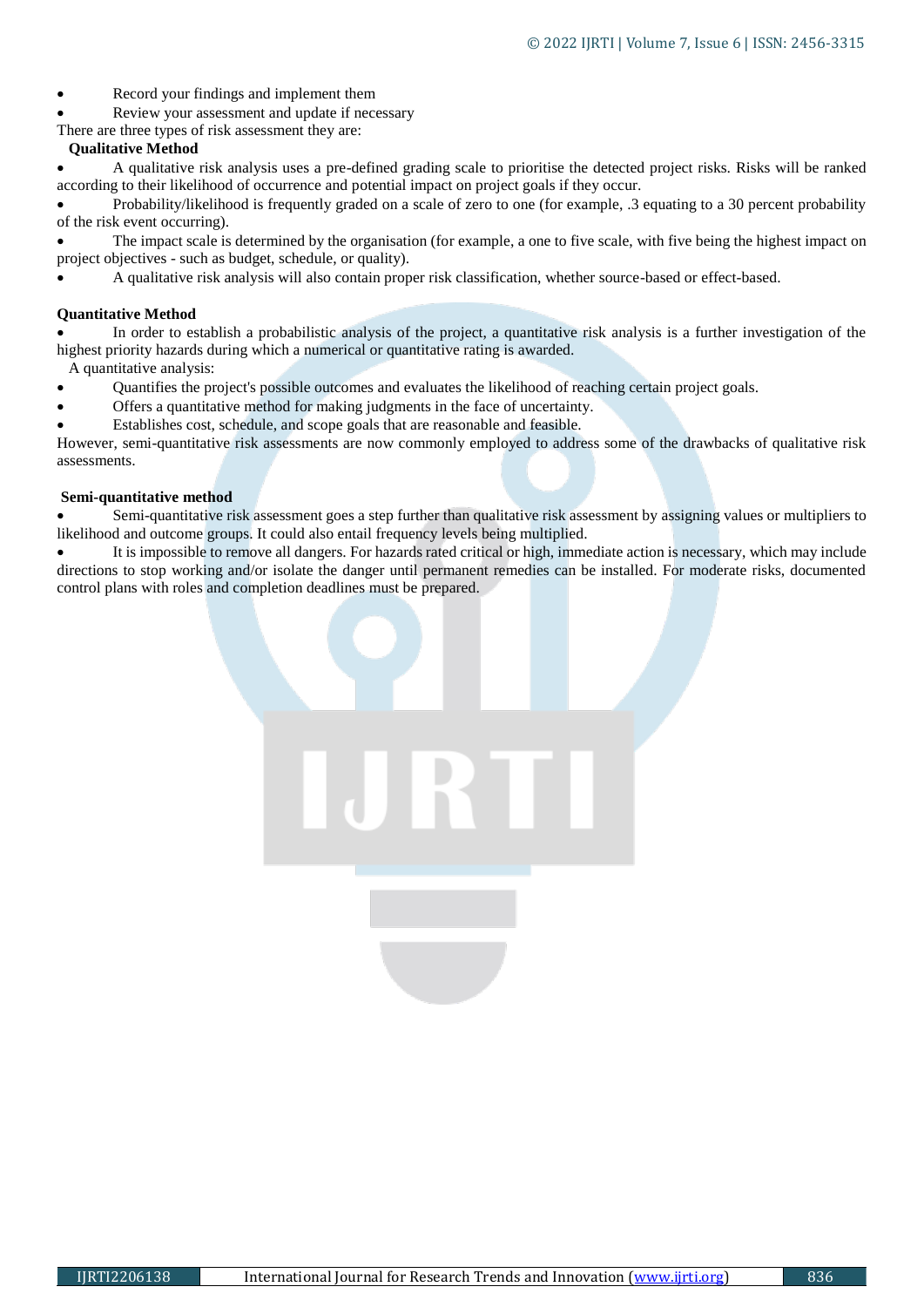- Record your findings and implement them
- Review your assessment and update if necessary
- There are three types of risk assessment they are:

### **Qualitative Method**

 A qualitative risk analysis uses a pre-defined grading scale to prioritise the detected project risks. Risks will be ranked according to their likelihood of occurrence and potential impact on project goals if they occur.

 Probability/likelihood is frequently graded on a scale of zero to one (for example, .3 equating to a 30 percent probability of the risk event occurring).

 The impact scale is determined by the organisation (for example, a one to five scale, with five being the highest impact on project objectives - such as budget, schedule, or quality).

A qualitative risk analysis will also contain proper risk classification, whether source-based or effect-based.

### **Quantitative Method**

 In order to establish a probabilistic analysis of the project, a quantitative risk analysis is a further investigation of the highest priority hazards during which a numerical or quantitative rating is awarded.

A quantitative analysis:

- Quantifies the project's possible outcomes and evaluates the likelihood of reaching certain project goals.
- Offers a quantitative method for making judgments in the face of uncertainty.
- Establishes cost, schedule, and scope goals that are reasonable and feasible.

However, semi-quantitative risk assessments are now commonly employed to address some of the drawbacks of qualitative risk assessments.

#### **Semi-quantitative method**

 Semi-quantitative risk assessment goes a step further than qualitative risk assessment by assigning values or multipliers to likelihood and outcome groups. It could also entail frequency levels being multiplied.

 It is impossible to remove all dangers. For hazards rated critical or high, immediate action is necessary, which may include directions to stop working and/or isolate the danger until permanent remedies can be installed. For moderate risks, documented control plans with roles and completion deadlines must be prepared.

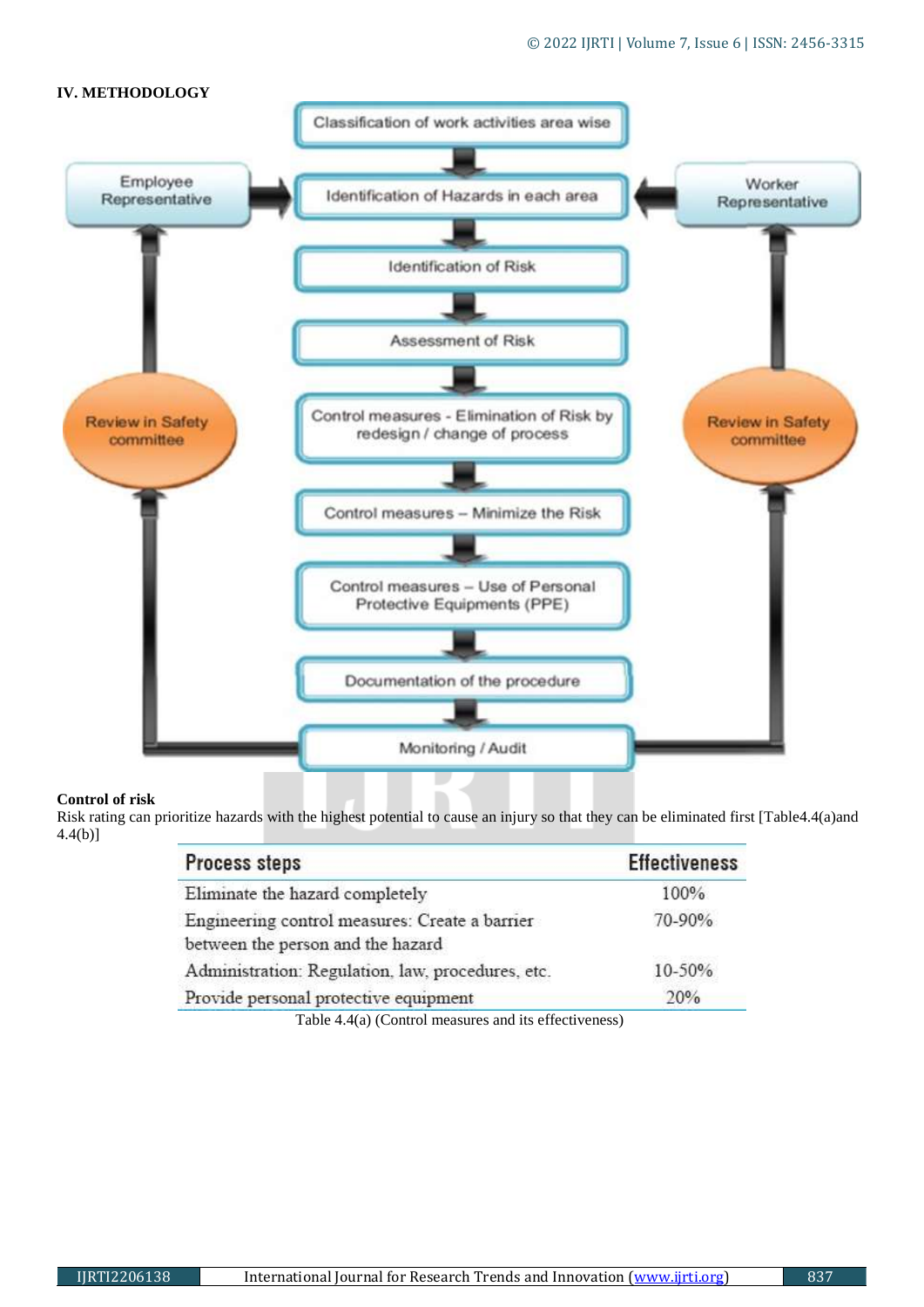

## **Control of risk**

Risk rating can prioritize hazards with the highest potential to cause an injury so that they can be eliminated first [Table4.4(a)and 4.4(b)]

| <b>Process steps</b>                              | <b>Effectiveness</b> |  |
|---------------------------------------------------|----------------------|--|
| Eliminate the hazard completely                   | 100%                 |  |
| Engineering control measures: Create a barrier    | 70-90%               |  |
| between the person and the hazard                 |                      |  |
| Administration: Regulation, law, procedures, etc. | 10-50%               |  |
| Provide personal protective equipment             | 20%                  |  |
|                                                   |                      |  |

Table 4.4(a) (Control measures and its effectiveness)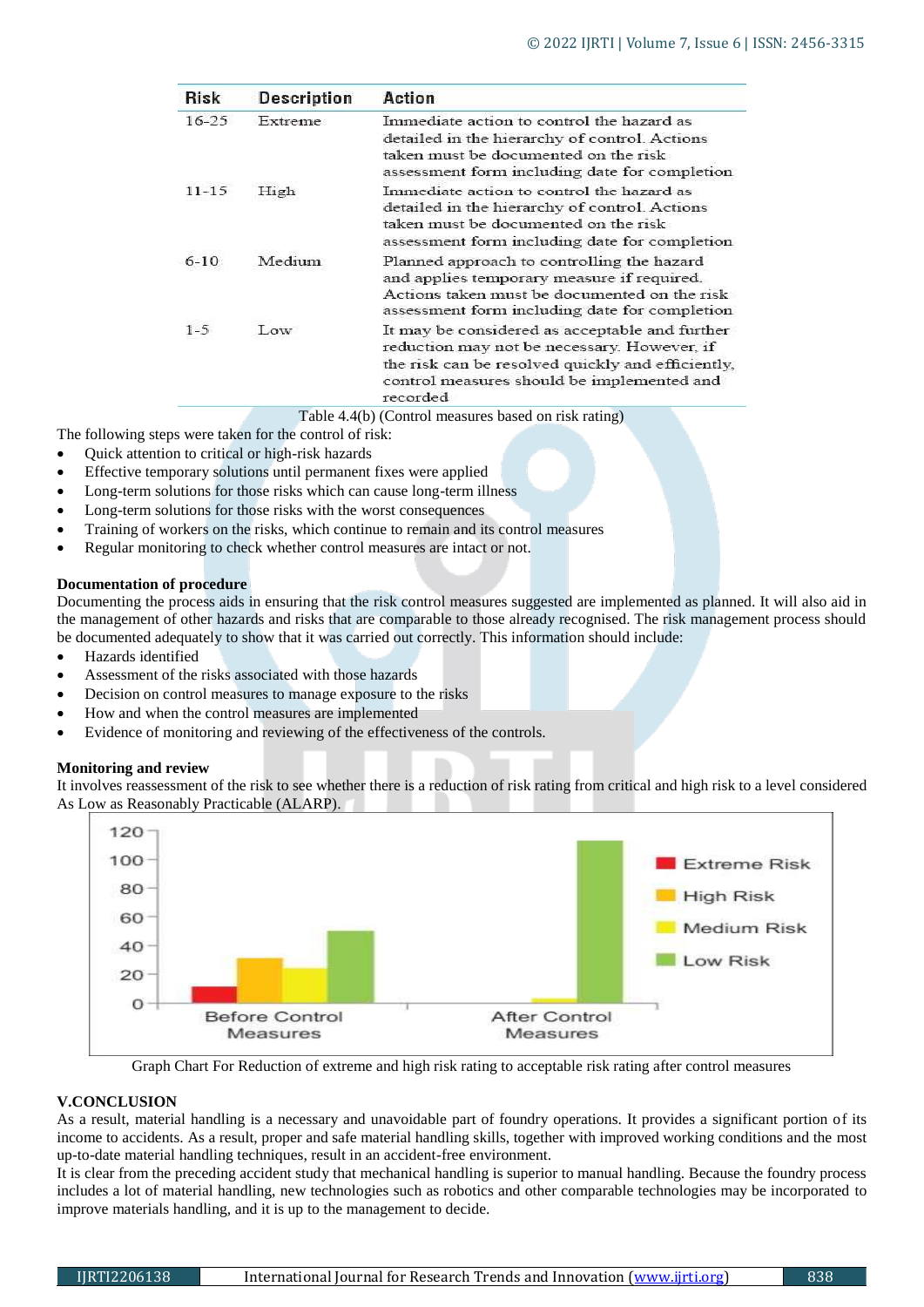| <b>Risk</b> | <b>Description</b> | Action                                                                                                                                                                                                       |
|-------------|--------------------|--------------------------------------------------------------------------------------------------------------------------------------------------------------------------------------------------------------|
| $16 - 25$   | Extreme            | Immediate action to control the hazard as<br>detailed in the hierarchy of control. Actions<br>taken must be documented on the risk<br>assessment form including date for completion                          |
| 11-15       | High               | Immediate action to control the hazard as<br>detailed in the hierarchy of control. Actions<br>taken must be documented on the risk<br>assessment form including date for completion                          |
| $6-10$      | Medium             | Planned approach to controlling the hazard<br>and applies temporary measure if required.<br>Actions taken must be documented on the risk<br>assessment form including date for completion                    |
| $1 - 5$     | Low                | It may be considered as acceptable and further<br>reduction may not be necessary. However, if<br>the risk can be resolved quickly and efficiently.<br>control measures should be implemented and<br>recorded |

The following steps were taken for the control of risk:

- Quick attention to critical or high-risk hazards
- Effective temporary solutions until permanent fixes were applied
- Long-term solutions for those risks which can cause long-term illness
- Long-term solutions for those risks with the worst consequences
- Training of workers on the risks, which continue to remain and its control measures
- Regular monitoring to check whether control measures are intact or not.

#### **Documentation of procedure**

Documenting the process aids in ensuring that the risk control measures suggested are implemented as planned. It will also aid in the management of other hazards and risks that are comparable to those already recognised. The risk management process should be documented adequately to show that it was carried out correctly. This information should include:

- Hazards identified
- Assessment of the risks associated with those hazards
- Decision on control measures to manage exposure to the risks
- How and when the control measures are implemented
- Evidence of monitoring and reviewing of the effectiveness of the controls.

#### **Monitoring and review**

It involves reassessment of the risk to see whether there is a reduction of risk rating from critical and high risk to a level considered As L[ow as Reasonably Practicable \(ALARP\).](https://www.ncbi.nlm.nih.gov/pmc/articles/PMC5844132/figure/F3/)



Graph Chart For Reduction of extreme and high risk rating to acceptable risk rating after control measures

#### **V.CONCLUSION**

As a result, material handling is a necessary and unavoidable part of foundry operations. It provides a significant portion of its income to accidents. As a result, proper and safe material handling skills, together with improved working conditions and the most up-to-date material handling techniques, result in an accident-free environment.

It is clear from the preceding accident study that mechanical handling is superior to manual handling. Because the foundry process includes a lot of material handling, new technologies such as robotics and other comparable technologies may be incorporated to improve materials handling, and it is up to the management to decide.